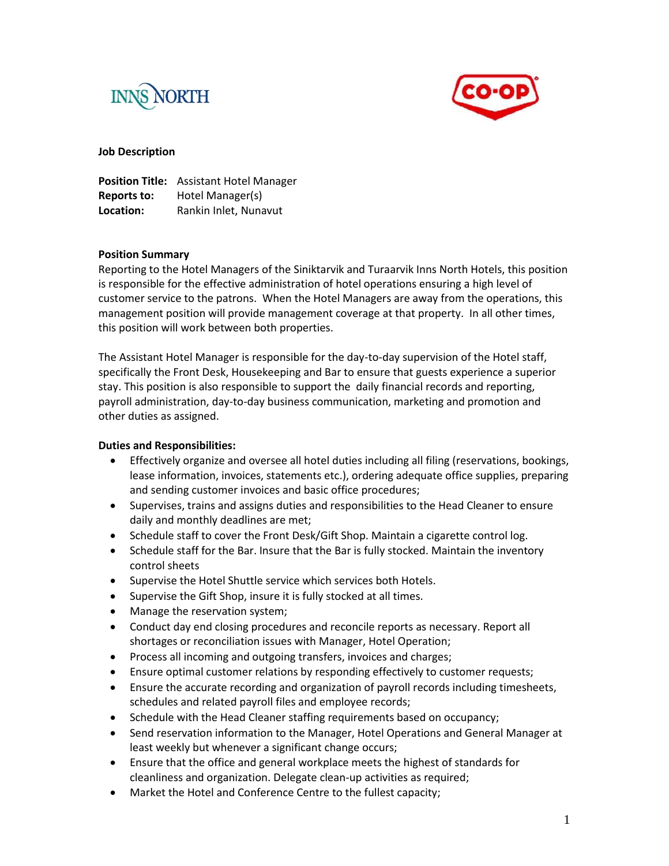



#### **Job Description**

|             | Position Title: Assistant Hotel Manager |
|-------------|-----------------------------------------|
| Reports to: | Hotel Manager(s)                        |
| Location:   | Rankin Inlet, Nunavut                   |

#### **Position Summary**

Reporting to the Hotel Managers of the Siniktarvik and Turaarvik Inns North Hotels, this position is responsible for the effective administration of hotel operations ensuring a high level of customer service to the patrons. When the Hotel Managers are away from the operations, this management position will provide management coverage at that property. In all other times, this position will work between both properties.

The Assistant Hotel Manager is responsible for the day-to-day supervision of the Hotel staff, specifically the Front Desk, Housekeeping and Bar to ensure that guests experience a superior stay. This position is also responsible to support the daily financial records and reporting, payroll administration, day-to-day business communication, marketing and promotion and other duties as assigned.

### **Duties and Responsibilities:**

- Effectively organize and oversee all hotel duties including all filing (reservations, bookings, lease information, invoices, statements etc.), ordering adequate office supplies, preparing and sending customer invoices and basic office procedures;
- Supervises, trains and assigns duties and responsibilities to the Head Cleaner to ensure daily and monthly deadlines are met;
- Schedule staff to cover the Front Desk/Gift Shop. Maintain a cigarette control log.
- Schedule staff for the Bar. Insure that the Bar is fully stocked. Maintain the inventory control sheets
- Supervise the Hotel Shuttle service which services both Hotels.
- Supervise the Gift Shop, insure it is fully stocked at all times.
- Manage the reservation system;
- Conduct day end closing procedures and reconcile reports as necessary. Report all shortages or reconciliation issues with Manager, Hotel Operation;
- Process all incoming and outgoing transfers, invoices and charges;
- Ensure optimal customer relations by responding effectively to customer requests;
- Ensure the accurate recording and organization of payroll records including timesheets, schedules and related payroll files and employee records;
- Schedule with the Head Cleaner staffing requirements based on occupancy;
- Send reservation information to the Manager, Hotel Operations and General Manager at least weekly but whenever a significant change occurs;
- Ensure that the office and general workplace meets the highest of standards for cleanliness and organization. Delegate clean-up activities as required;
- Market the Hotel and Conference Centre to the fullest capacity;